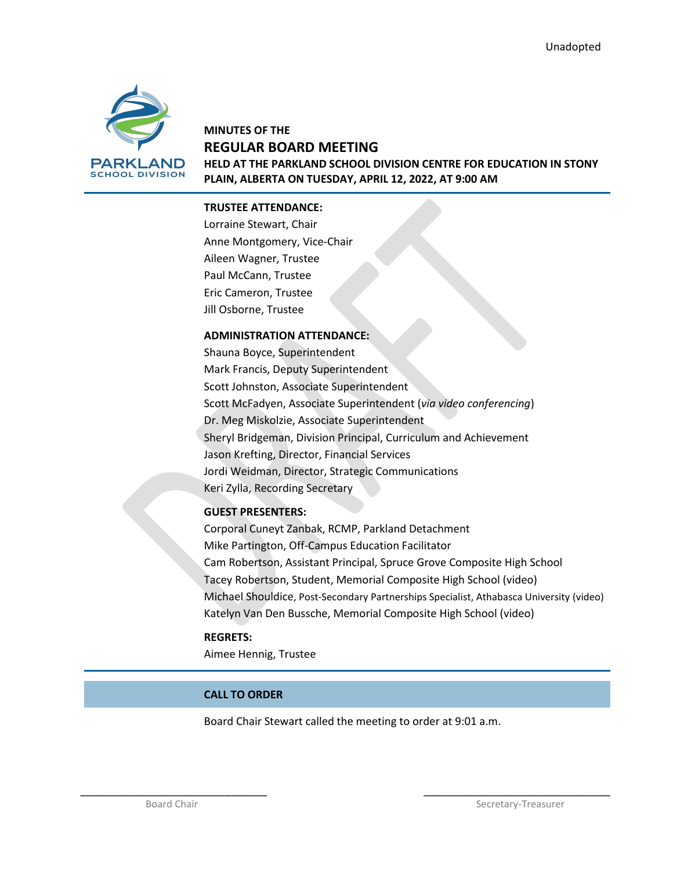

## **MINUTES OF THE REGULAR BOARD MEETING HELD AT THE PARKLAND SCHOOL DIVISION CENTRE FOR EDUCATION IN STONY PLAIN, ALBERTA ON TUESDAY, APRIL 12, 2022, AT 9:00 AM**

### **TRUSTEE ATTENDANCE:**

Lorraine Stewart, Chair Anne Montgomery, Vice-Chair Aileen Wagner, Trustee Paul McCann, Trustee Eric Cameron, Trustee Jill Osborne, Trustee

#### **ADMINISTRATION ATTENDANCE:**

Shauna Boyce, Superintendent Mark Francis, Deputy Superintendent Scott Johnston, Associate Superintendent Scott McFadyen, Associate Superintendent (*via video conferencing*) Dr. Meg Miskolzie, Associate Superintendent Sheryl Bridgeman, Division Principal, Curriculum and Achievement Jason Krefting, Director, Financial Services Jordi Weidman, Director, Strategic Communications Keri Zylla, Recording Secretary

### **GUEST PRESENTERS:**

Corporal Cuneyt Zanbak, RCMP, Parkland Detachment Mike Partington, Off-Campus Education Facilitator Cam Robertson, Assistant Principal, Spruce Grove Composite High School Tacey Robertson, Student, Memorial Composite High School (video) Michael Shouldice, Post-Secondary Partnerships Specialist, Athabasca University (video) Katelyn Van Den Bussche, Memorial Composite High School (video)

### **REGRETS:**

Aimee Hennig, Trustee

### **CALL TO ORDER**

Board Chair Stewart called the meeting to order at 9:01 a.m.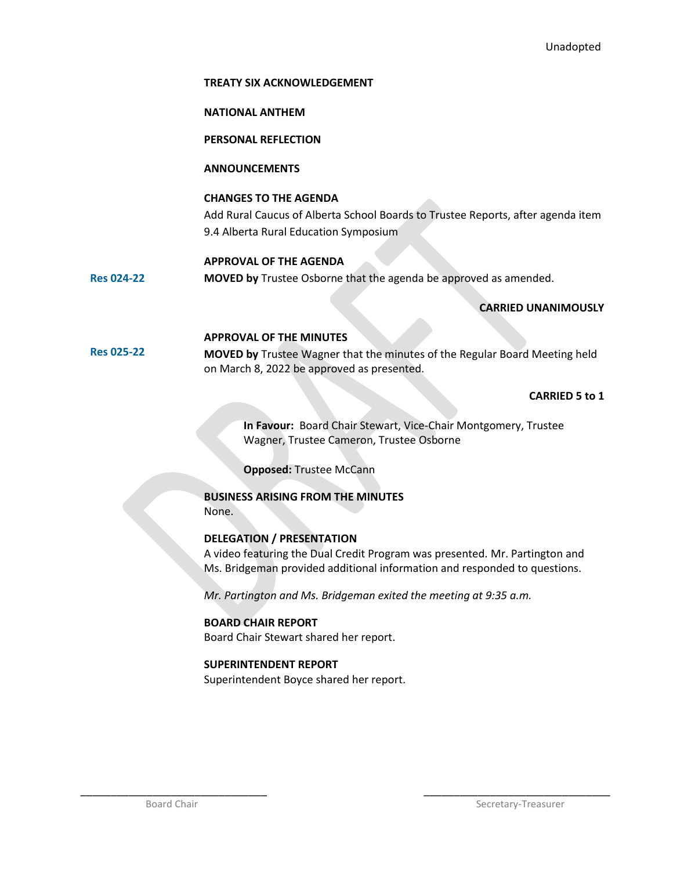#### **TREATY SIX ACKNOWLEDGEMENT**

#### **NATIONAL ANTHEM**

**PERSONAL REFLECTION**

### **ANNOUNCEMENTS**

#### **CHANGES TO THE AGENDA**

Add Rural Caucus of Alberta School Boards to Trustee Reports, after agenda item 9.4 Alberta Rural Education Symposium

#### **APPROVAL OF THE AGENDA**

**Res 024-22 MOVED by** Trustee Osborne that the agenda be approved as amended.

### **CARRIED UNANIMOUSLY**

#### **APPROVAL OF THE MINUTES**

**Res 025-22 MOVED by** Trustee Wagner that the minutes of the Regular Board Meeting held on March 8, 2022 be approved as presented.

### **CARRIED 5 to 1**

**In Favour:** Board Chair Stewart, Vice-Chair Montgomery, Trustee Wagner, Trustee Cameron, Trustee Osborne

**Opposed:** Trustee McCann

### **BUSINESS ARISING FROM THE MINUTES** None.

### **DELEGATION / PRESENTATION**

A video featuring the Dual Credit Program was presented. Mr. Partington and Ms. Bridgeman provided additional information and responded to questions.

*Mr. Partington and Ms. Bridgeman exited the meeting at 9:35 a.m.*

### **BOARD CHAIR REPORT**

Board Chair Stewart shared her report.

### **SUPERINTENDENT REPORT**

Superintendent Boyce shared her report.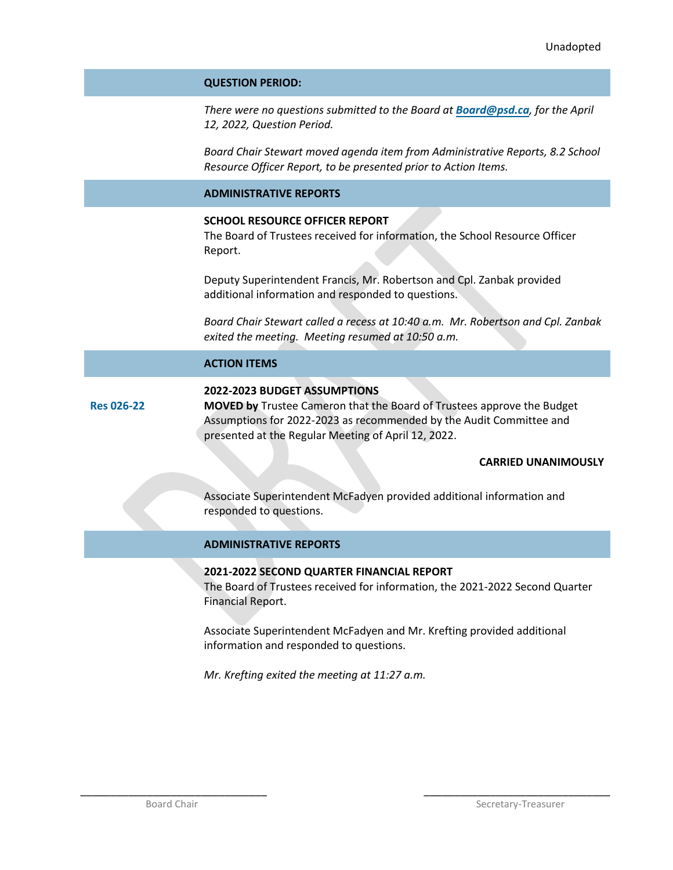#### **QUESTION PERIOD:**

*There were no questions submitted to the Board at [Board@psd.ca](mailto:Board@psd.ca), for the April 12, 2022, Question Period.* 

*Board Chair Stewart moved agenda item from Administrative Reports, 8.2 School Resource Officer Report, to be presented prior to Action Items.* 

#### **ADMINISTRATIVE REPORTS**

### **SCHOOL RESOURCE OFFICER REPORT**

The Board of Trustees received for information, the School Resource Officer Report.

Deputy Superintendent Francis, Mr. Robertson and Cpl. Zanbak provided additional information and responded to questions.

*Board Chair Stewart called a recess at 10:40 a.m. Mr. Robertson and Cpl. Zanbak exited the meeting. Meeting resumed at 10:50 a.m.*

### **ACTION ITEMS**

**Res 026-22**

#### **2022-2023 BUDGET ASSUMPTIONS**

**MOVED by** Trustee Cameron that the Board of Trustees approve the Budget Assumptions for 2022-2023 as recommended by the Audit Committee and presented at the Regular Meeting of April 12, 2022.

### **CARRIED UNANIMOUSLY**

Associate Superintendent McFadyen provided additional information and responded to questions.

#### **ADMINISTRATIVE REPORTS**

#### **2021-2022 SECOND QUARTER FINANCIAL REPORT**

The Board of Trustees received for information, the 2021-2022 Second Quarter Financial Report.

Associate Superintendent McFadyen and Mr. Krefting provided additional information and responded to questions.

*Mr. Krefting exited the meeting at 11:27 a.m.*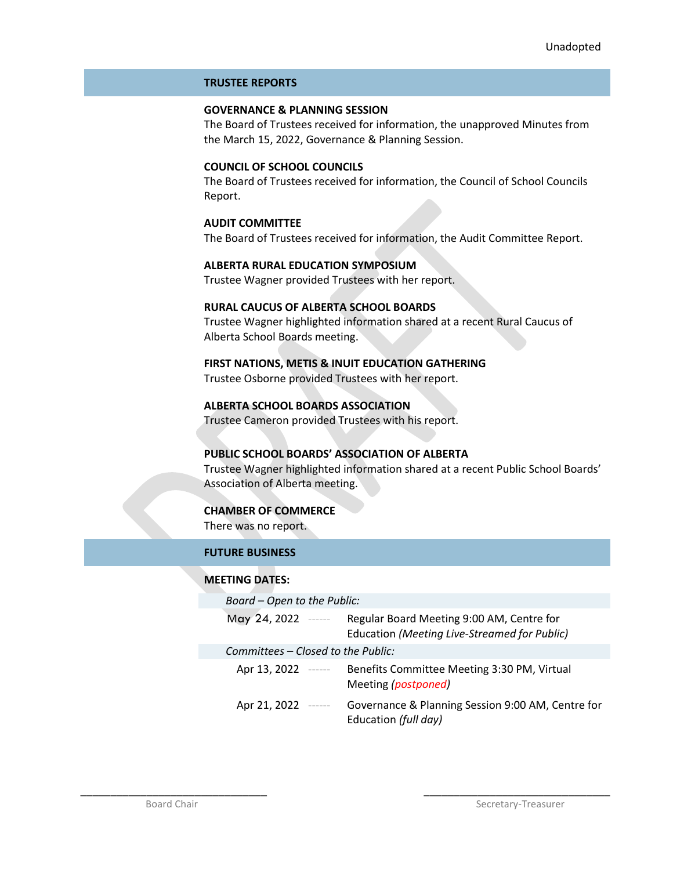#### **TRUSTEE REPORTS**

### **GOVERNANCE & PLANNING SESSION**

The Board of Trustees received for information, the unapproved Minutes from the March 15, 2022, Governance & Planning Session.

### **COUNCIL OF SCHOOL COUNCILS**

The Board of Trustees received for information, the Council of School Councils Report.

### **AUDIT COMMITTEE**

The Board of Trustees received for information, the Audit Committee Report.

**ALBERTA RURAL EDUCATION SYMPOSIUM** Trustee Wagner provided Trustees with her report.

#### **RURAL CAUCUS OF ALBERTA SCHOOL BOARDS**

Trustee Wagner highlighted information shared at a recent Rural Caucus of Alberta School Boards meeting.

# **FIRST NATIONS, METIS & INUIT EDUCATION GATHERING**

Trustee Osborne provided Trustees with her report.

**ALBERTA SCHOOL BOARDS ASSOCIATION** Trustee Cameron provided Trustees with his report.

### **PUBLIC SCHOOL BOARDS' ASSOCIATION OF ALBERTA**

\_\_\_\_\_\_\_\_\_\_\_\_\_\_\_\_\_\_\_\_\_\_\_\_\_\_\_\_\_\_\_ \_\_\_\_\_\_\_\_\_\_\_\_\_\_\_\_\_\_\_\_\_\_\_\_\_\_\_\_\_\_\_

Trustee Wagner highlighted information shared at a recent Public School Boards' Association of Alberta meeting.

### **CHAMBER OF COMMERCE**

There was no report.

### **FUTURE BUSINESS**

### **MEETING DATES:**

| Board - Open to the Public:        |                                                                                           |  |
|------------------------------------|-------------------------------------------------------------------------------------------|--|
| May 24, 2022 -----                 | Regular Board Meeting 9:00 AM, Centre for<br>Education (Meeting Live-Streamed for Public) |  |
| Committees – Closed to the Public: |                                                                                           |  |
| Apr 13, 2022 ------                | Benefits Committee Meeting 3:30 PM, Virtual<br>Meeting (postponed)                        |  |
| Apr 21, 2022 ------                | Governance & Planning Session 9:00 AM, Centre for<br>Education (full day)                 |  |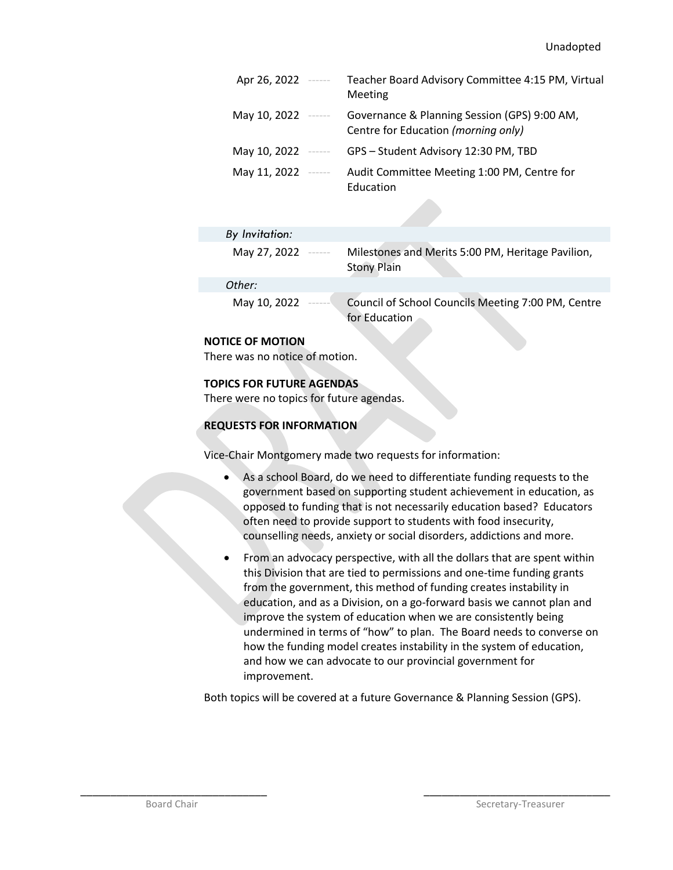| Apr 26, 2022 ------ |                                      | Teacher Board Advisory Committee 4:15 PM, Virtual<br>Meeting                        |
|---------------------|--------------------------------------|-------------------------------------------------------------------------------------|
| May 10, 2022 $---$  |                                      | Governance & Planning Session (GPS) 9:00 AM,<br>Centre for Education (morning only) |
| May 10, 2022        | $\cdots \cdots \cdots \cdots \cdots$ | GPS - Student Advisory 12:30 PM, TBD                                                |
| May 11, 2022        | $\cdots \cdots \cdots \cdots \cdots$ | Audit Committee Meeting 1:00 PM, Centre for<br>Education                            |

| By Invitation:          |                                                                         |
|-------------------------|-------------------------------------------------------------------------|
| May 27, 2022            | Milestones and Merits 5:00 PM, Heritage Pavilion,<br><b>Stony Plain</b> |
| Other:                  |                                                                         |
| May 10, 2022<br>------- | Council of School Councils Meeting 7:00 PM, Centre<br>for Education     |

### **NOTICE OF MOTION**

There was no notice of motion.

### **TOPICS FOR FUTURE AGENDAS**

There were no topics for future agendas.

### **REQUESTS FOR INFORMATION**

Vice-Chair Montgomery made two requests for information:

- As a school Board, do we need to differentiate funding requests to the government based on supporting student achievement in education, as opposed to funding that is not necessarily education based? Educators often need to provide support to students with food insecurity, counselling needs, anxiety or social disorders, addictions and more.
- From an advocacy perspective, with all the dollars that are spent within this Division that are tied to permissions and one-time funding grants from the government, this method of funding creates instability in education, and as a Division, on a go-forward basis we cannot plan and improve the system of education when we are consistently being undermined in terms of "how" to plan. The Board needs to converse on how the funding model creates instability in the system of education, and how we can advocate to our provincial government for improvement.

Both topics will be covered at a future Governance & Planning Session (GPS).